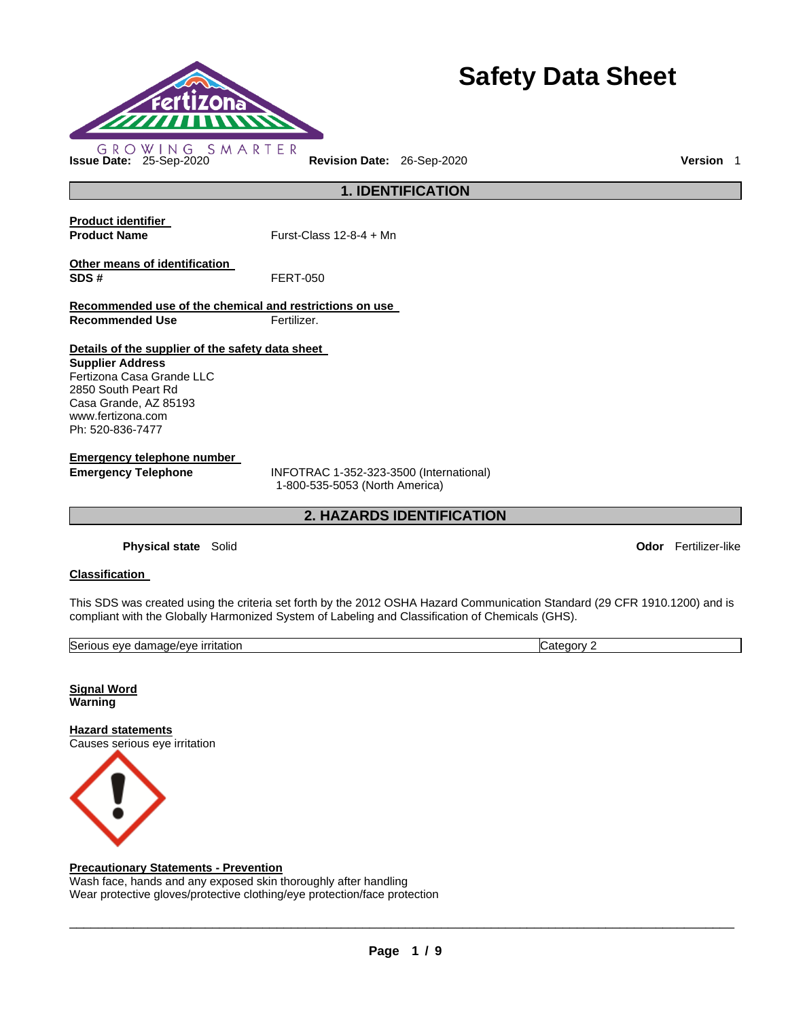

# **Safety Data Sheet**

**Product identifier** 

**Product Name Furst-Class 12-8-4 + Mn** 

**Other means of identification SDS #** FERT-050

**Recommended use of the chemical and restrictions on use Recommended Use Fertilizer.** 

**Details of the supplier of the safety data sheet** 

**Supplier Address** Fertizona Casa Grande LLC 2850 South Peart Rd Casa Grande, AZ 85193 www.fertizona.com Ph: 520-836-7477

**Emergency telephone number** 

**Emergency Telephone** INFOTRAC 1-352-323-3500 (International) 1-800-535-5053 (North America)

**2. HAZARDS IDENTIFICATION** 

**1. IDENTIFICATION** 

**Physical state** Solid **Odor** Fertilizer-like

### **Classification**

This SDS was created using the criteria set forth by the 2012 OSHA Hazard Communication Standard (29 CFR 1910.1200) and is compliant with the Globally Harmonized System of Labeling and Classification of Chemicals (GHS).

| <b>Serious</b><br>ritatior<br>rıt.<br>a/AV6<br>AVF<br>~<br>ית ה<br>י היו ה<br>uar<br>'iauc, | r<br>ור |
|---------------------------------------------------------------------------------------------|---------|
|                                                                                             |         |

**Signal Word Warning** 

**Hazard statements** Causes serious eye irritation



### **Precautionary Statements - Prevention**

Wash face, hands and any exposed skin thoroughly after handling Wear protective gloves/protective clothing/eye protection/face protection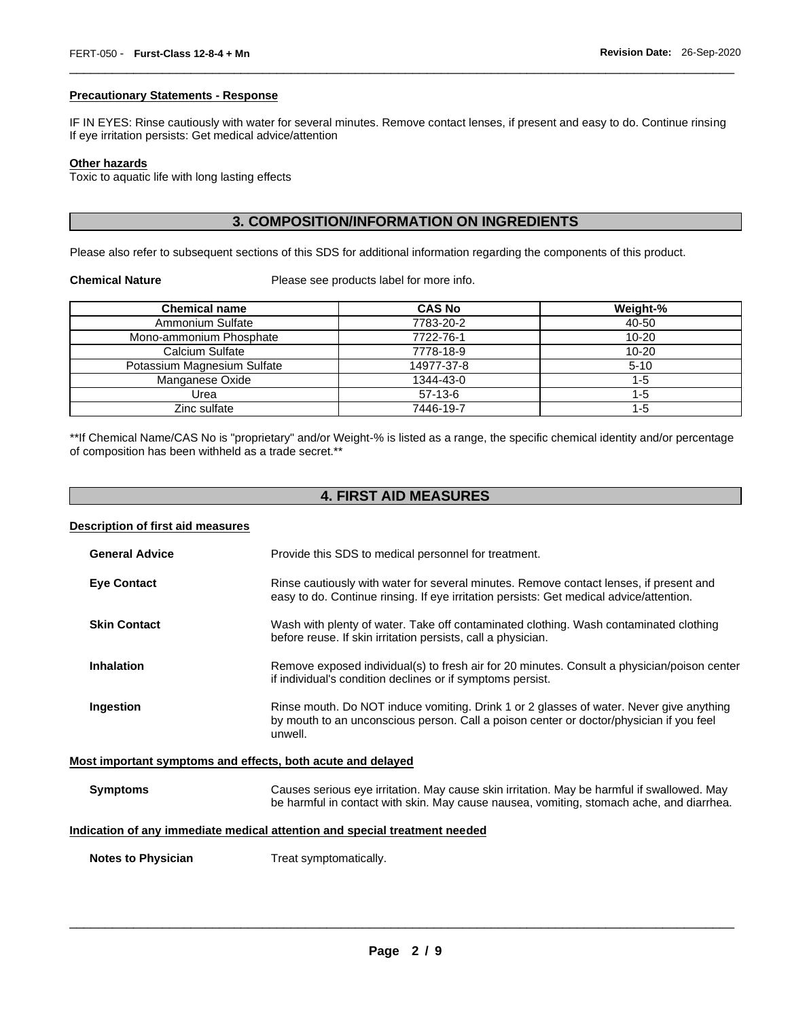#### **Precautionary Statements - Response**

IF IN EYES: Rinse cautiously with water for several minutes. Remove contact lenses, if present and easy to do. Continue rinsing If eye irritation persists: Get medical advice/attention

\_\_\_\_\_\_\_\_\_\_\_\_\_\_\_\_\_\_\_\_\_\_\_\_\_\_\_\_\_\_\_\_\_\_\_\_\_\_\_\_\_\_\_\_\_\_\_\_\_\_\_\_\_\_\_\_\_\_\_\_\_\_\_\_\_\_\_\_\_\_\_\_\_\_\_\_\_\_\_\_\_\_\_\_\_\_\_\_\_\_\_\_\_

### **Other hazards**

Toxic to aquatic life with long lasting effects

### **3. COMPOSITION/INFORMATION ON INGREDIENTS**

Please also refer to subsequent sections of this SDS for additional information regarding the components of this product.

**Chemical Nature** Please see products label for more info.

| <b>Chemical name</b>        | <b>CAS No</b> | Weight-%  |
|-----------------------------|---------------|-----------|
| Ammonium Sulfate            | 7783-20-2     | 40-50     |
| Mono-ammonium Phosphate     | 7722-76-1     | $10 - 20$ |
| Calcium Sulfate             | 7778-18-9     | $10 - 20$ |
| Potassium Magnesium Sulfate | 14977-37-8    | $5 - 10$  |
| Manganese Oxide             | 1344-43-0     | $1 - 5$   |
| Urea                        | $57-13-6$     | $1 - 5$   |
| Zinc sulfate                | 7446-19-7     | 1-5       |

\*\*If Chemical Name/CAS No is "proprietary" and/or Weight-% is listed as a range, the specific chemical identity and/or percentage of composition has been withheld as a trade secret.\*\*

### **4. FIRST AID MEASURES**

#### **Description of first aid measures**

| <b>General Advice</b> | Provide this SDS to medical personnel for treatment.                                                                                                                                          |
|-----------------------|-----------------------------------------------------------------------------------------------------------------------------------------------------------------------------------------------|
| <b>Eve Contact</b>    | Rinse cautiously with water for several minutes. Remove contact lenses, if present and<br>easy to do. Continue rinsing. If eye irritation persists: Get medical advice/attention.             |
| <b>Skin Contact</b>   | Wash with plenty of water. Take off contaminated clothing. Wash contaminated clothing<br>before reuse. If skin irritation persists, call a physician.                                         |
| <b>Inhalation</b>     | Remove exposed individual(s) to fresh air for 20 minutes. Consult a physician/poison center<br>if individual's condition declines or if symptoms persist.                                     |
| Ingestion             | Rinse mouth. Do NOT induce vomiting. Drink 1 or 2 glasses of water. Never give anything<br>by mouth to an unconscious person. Call a poison center or doctor/physician if you feel<br>unwell. |

### **Most important symptoms and effects, both acute and delayed**

| <b>Symptoms</b> | Causes serious eye irritation. May cause skin irritation. May be harmful if swallowed. May |
|-----------------|--------------------------------------------------------------------------------------------|
|                 | be harmful in contact with skin. May cause nausea, vomiting, stomach ache, and diarrhea.   |

### **Indication of any immediate medical attention and special treatment needed**

**Notes to Physician**  Treat symptomatically.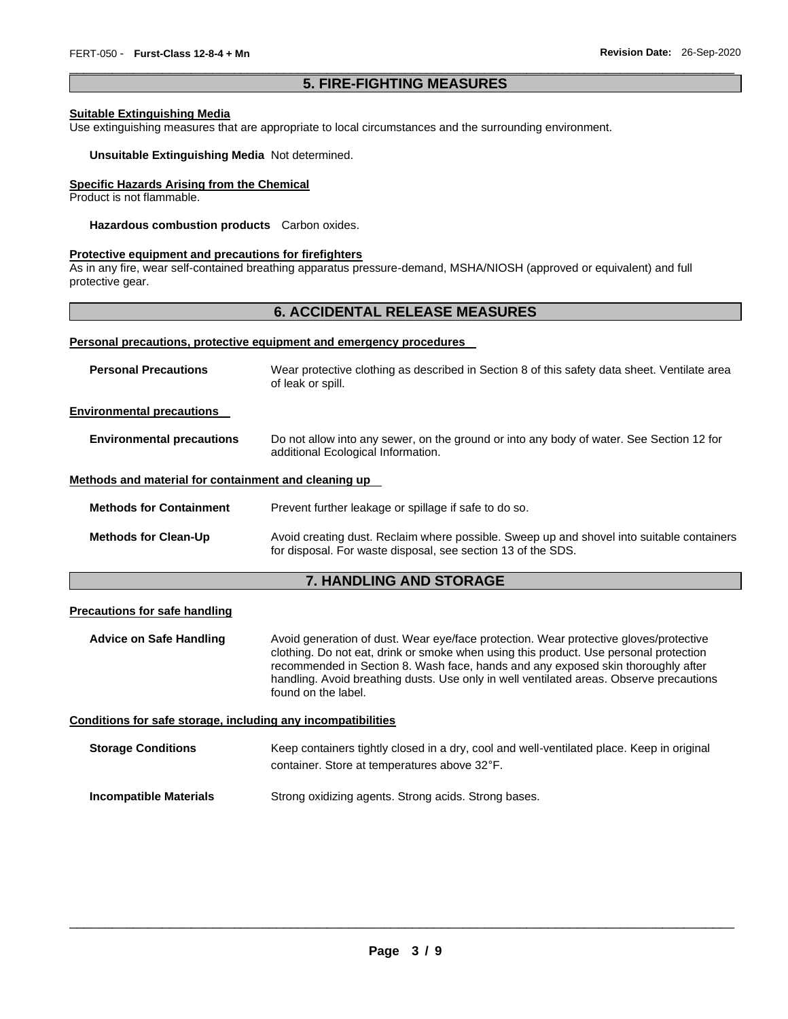### \_\_\_\_\_\_\_\_\_\_\_\_\_\_\_\_\_\_\_\_\_\_\_\_\_\_\_\_\_\_\_\_\_\_\_\_\_\_\_\_\_\_\_\_\_\_\_\_\_\_\_\_\_\_\_\_\_\_\_\_\_\_\_\_\_\_\_\_\_\_\_\_\_\_\_\_\_\_\_\_\_\_\_\_\_\_\_\_\_\_\_\_\_ **5. FIRE-FIGHTING MEASURES**

### **Suitable Extinguishing Media**

Use extinguishing measures that are appropriate to local circumstances and the surrounding environment.

**Unsuitable Extinguishing Media** Not determined.

### **Specific Hazards Arising from the Chemical**

Product is not flammable.

**Hazardous combustion products** Carbon oxides.

### **Protective equipment and precautions for firefighters**

As in any fire, wear self-contained breathing apparatus pressure-demand, MSHA/NIOSH (approved or equivalent) and full protective gear.

### **6. ACCIDENTAL RELEASE MEASURES**

#### **Personal precautions, protective equipment and emergency procedures**

| <b>Personal Precautions</b>                          | Wear protective clothing as described in Section 8 of this safety data sheet. Ventilate area<br>of leak or spill.                                         |
|------------------------------------------------------|-----------------------------------------------------------------------------------------------------------------------------------------------------------|
| <b>Environmental precautions</b>                     |                                                                                                                                                           |
| <b>Environmental precautions</b>                     | Do not allow into any sewer, on the ground or into any body of water. See Section 12 for<br>additional Ecological Information.                            |
| Methods and material for containment and cleaning up |                                                                                                                                                           |
| <b>Methods for Containment</b>                       | Prevent further leakage or spillage if safe to do so.                                                                                                     |
| <b>Methods for Clean-Up</b>                          | Avoid creating dust. Reclaim where possible. Sweep up and shovel into suitable containers<br>for disposal. For waste disposal, see section 13 of the SDS. |

### **7. HANDLING AND STORAGE**

#### **Precautions for safe handling**

**Advice on Safe Handling** Avoid generation of dust. Wear eye/face protection. Wear protective gloves/protective clothing. Do not eat, drink or smoke when using this product. Use personal protection recommended in Section 8. Wash face, hands and any exposed skin thoroughly after handling. Avoid breathing dusts. Use only in well ventilated areas. Observe precautions found on the label.

**Conditions for safe storage, including any incompatibilities**

**Storage Conditions** Keep containers tightly closed in a dry, cool and well-ventilated place. Keep in original container. Store at temperatures above 32°F.

| Incompatible Materials |  | Strong oxidizing agents. Strong acids. Strong bases. |
|------------------------|--|------------------------------------------------------|
|                        |  |                                                      |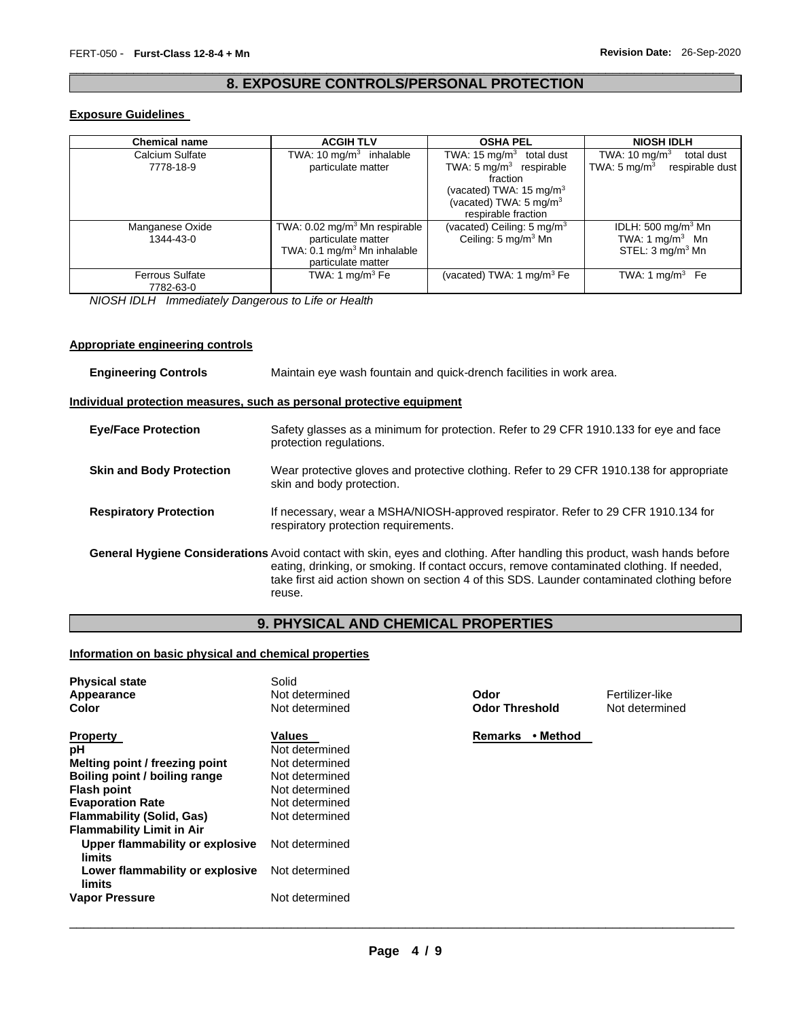### \_\_\_\_\_\_\_\_\_\_\_\_\_\_\_\_\_\_\_\_\_\_\_\_\_\_\_\_\_\_\_\_\_\_\_\_\_\_\_\_\_\_\_\_\_\_\_\_\_\_\_\_\_\_\_\_\_\_\_\_\_\_\_\_\_\_\_\_\_\_\_\_\_\_\_\_\_\_\_\_\_\_\_\_\_\_\_\_\_\_\_\_\_ **8. EXPOSURE CONTROLS/PERSONAL PROTECTION**

### **Exposure Guidelines**

| <b>Chemical name</b>   | <b>ACGIH TLV</b>                          | <b>OSHA PEL</b>                        | <b>NIOSH IDLH</b>                          |
|------------------------|-------------------------------------------|----------------------------------------|--------------------------------------------|
| Calcium Sulfate        | TWA: 10 mg/m <sup>3</sup> inhalable       | TWA: $15 \text{ mg/m}^3$<br>total dust | TWA: $10 \text{ mg/m}^3$<br>total dust     |
| 7778-18-9              | particulate matter                        | TWA: $5 \text{ mg/m}^3$ respirable     | TWA: $5 \text{ mg/m}^3$<br>respirable dust |
|                        |                                           | fraction                               |                                            |
|                        |                                           | (vacated) TWA: $15 \text{ mg/m}^3$     |                                            |
|                        |                                           | (vacated) TWA: 5 mg/m <sup>3</sup>     |                                            |
|                        |                                           | respirable fraction                    |                                            |
| Manganese Oxide        | TWA: 0.02 mg/m <sup>3</sup> Mn respirable | (vacated) Ceiling: $5 \text{ mg/m}^3$  | IDLH: 500 mg/m $3$ Mn                      |
| 1344-43-0              | particulate matter                        | Ceiling: 5 mg/m <sup>3</sup> Mn        | TWA: 1 mg/m <sup>3</sup> Mn                |
|                        | TWA: 0.1 mg/m <sup>3</sup> Mn inhalable   |                                        | STEL: 3 mg/m <sup>3</sup> Mn               |
|                        | particulate matter                        |                                        |                                            |
| <b>Ferrous Sulfate</b> | TWA: 1 mg/m $3$ Fe                        | (vacated) TWA: 1 mg/m $3$ Fe           | TWA: 1 mg/m $3$ Fe                         |
| 7782-63-0              |                                           |                                        |                                            |

*NIOSH IDLH Immediately Dangerous to Life or Health* 

### **Appropriate engineering controls**

| <b>Engineering Controls</b>     | Maintain eye wash fountain and quick-drench facilities in work area.                                                                                                                                                                                                                                                                  |  |  |
|---------------------------------|---------------------------------------------------------------------------------------------------------------------------------------------------------------------------------------------------------------------------------------------------------------------------------------------------------------------------------------|--|--|
|                                 | <u>Individual protection measures, such as personal protective equipment</u>                                                                                                                                                                                                                                                          |  |  |
| <b>Eye/Face Protection</b>      | Safety glasses as a minimum for protection. Refer to 29 CFR 1910.133 for eye and face<br>protection regulations.                                                                                                                                                                                                                      |  |  |
| <b>Skin and Body Protection</b> | Wear protective gloves and protective clothing. Refer to 29 CFR 1910.138 for appropriate<br>skin and body protection.                                                                                                                                                                                                                 |  |  |
| <b>Respiratory Protection</b>   | If necessary, wear a MSHA/NIOSH-approved respirator. Refer to 29 CFR 1910.134 for<br>respiratory protection requirements.                                                                                                                                                                                                             |  |  |
|                                 | <b>General Hygiene Considerations</b> Avoid contact with skin, eyes and clothing. After handling this product, wash hands before<br>eating, drinking, or smoking. If contact occurs, remove contaminated clothing. If needed,<br>take first aid action shown on section 4 of this SDS. Launder contaminated clothing before<br>reuse. |  |  |

### **9. PHYSICAL AND CHEMICAL PROPERTIES**

### **Information on basic physical and chemical properties**

| <b>Physical state</b><br>Appearance<br>Color                                                                                                                                                                                                                                                                                         | Solid<br>Not determined<br>Not determined                                                                                                                                | Odor<br><b>Odor Threshold</b> | Fertilizer-like<br>Not determined |
|--------------------------------------------------------------------------------------------------------------------------------------------------------------------------------------------------------------------------------------------------------------------------------------------------------------------------------------|--------------------------------------------------------------------------------------------------------------------------------------------------------------------------|-------------------------------|-----------------------------------|
| <b>Property</b><br>рH<br>Melting point / freezing point<br>Boiling point / boiling range<br><b>Flash point</b><br><b>Evaporation Rate</b><br><b>Flammability (Solid, Gas)</b><br><b>Flammability Limit in Air</b><br>Upper flammability or explosive<br>limits<br>Lower flammability or explosive<br>limits<br><b>Vapor Pressure</b> | Values<br>Not determined<br>Not determined<br>Not determined<br>Not determined<br>Not determined<br>Not determined<br>Not determined<br>Not determined<br>Not determined | • Method<br><b>Remarks</b>    |                                   |
|                                                                                                                                                                                                                                                                                                                                      |                                                                                                                                                                          |                               |                                   |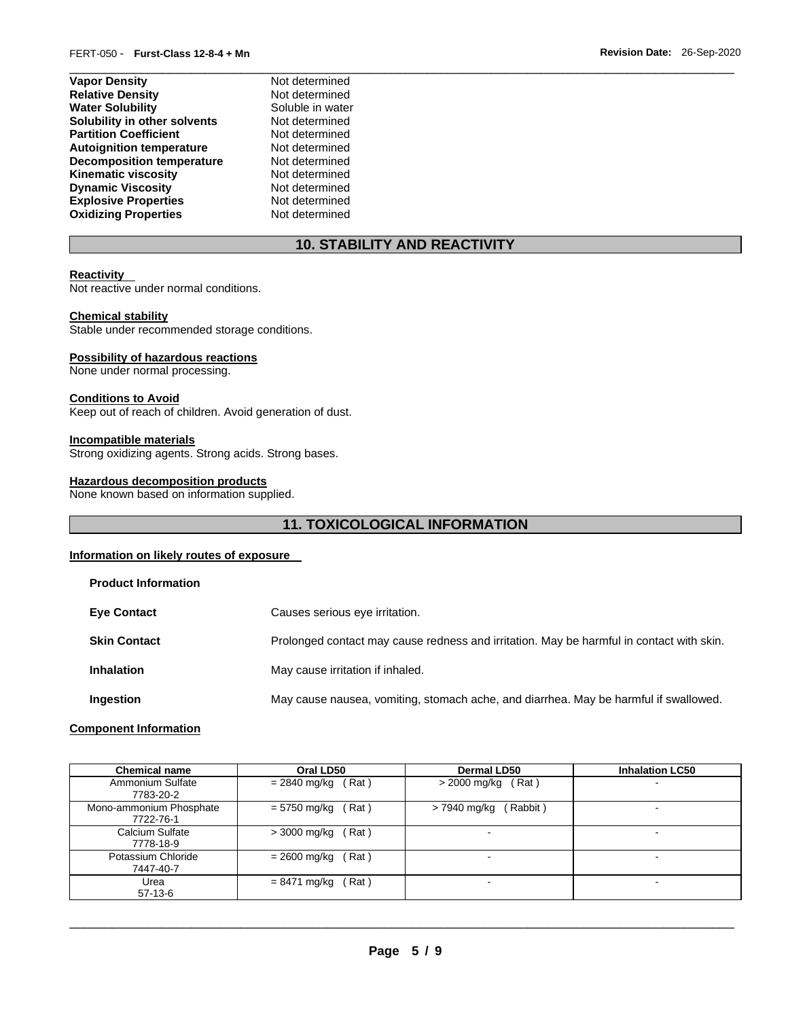| Not determined   |
|------------------|
| Not determined   |
| Soluble in water |
| Not determined   |
| Not determined   |
| Not determined   |
| Not determined   |
| Not determined   |
| Not determined   |
| Not determined   |
| Not determined   |
|                  |

## **10. STABILITY AND REACTIVITY**

\_\_\_\_\_\_\_\_\_\_\_\_\_\_\_\_\_\_\_\_\_\_\_\_\_\_\_\_\_\_\_\_\_\_\_\_\_\_\_\_\_\_\_\_\_\_\_\_\_\_\_\_\_\_\_\_\_\_\_\_\_\_\_\_\_\_\_\_\_\_\_\_\_\_\_\_\_\_\_\_\_\_\_\_\_\_\_\_\_\_\_\_\_

### **Reactivity**

Not reactive under normal conditions.

### **Chemical stability**

Stable under recommended storage conditions.

### **Possibility of hazardous reactions**

None under normal processing.

### **Conditions to Avoid**

Keep out of reach of children. Avoid generation of dust.

### **Incompatible materials**

Strong oxidizing agents. Strong acids. Strong bases.

### **Hazardous decomposition products**

None known based on information supplied.

### **11. TOXICOLOGICAL INFORMATION**

### **Information on likely routes of exposure**

| <b>Product Information</b> |                                                                                          |
|----------------------------|------------------------------------------------------------------------------------------|
| <b>Eye Contact</b>         | Causes serious eye irritation.                                                           |
| <b>Skin Contact</b>        | Prolonged contact may cause redness and irritation. May be harmful in contact with skin. |
| <b>Inhalation</b>          | May cause irritation if inhaled.                                                         |
| Ingestion                  | May cause nausea, vomiting, stomach ache, and diarrhea. May be harmful if swallowed.     |

### **Component Information**

| <b>Chemical name</b>                 | Oral LD50             | <b>Dermal LD50</b>      | <b>Inhalation LC50</b>   |
|--------------------------------------|-----------------------|-------------------------|--------------------------|
| Ammonium Sulfate<br>7783-20-2        | = 2840 mg/kg<br>(Rat) | $>$ 2000 mg/kg (Rat)    | $\overline{\phantom{0}}$ |
| Mono-ammonium Phosphate<br>7722-76-1 | = 5750 mg/kg<br>(Rat) | Rabbit)<br>> 7940 mg/kg | -                        |
| Calcium Sulfate<br>7778-18-9         | (Rat)<br>> 3000 mg/kg |                         | $\,$                     |
| Potassium Chloride<br>7447-40-7      | = 2600 mg/kg<br>(Rat) | -                       | -                        |
| Urea<br>$57-13-6$                    | (Rat)<br>= 8471 mg/kg |                         | -                        |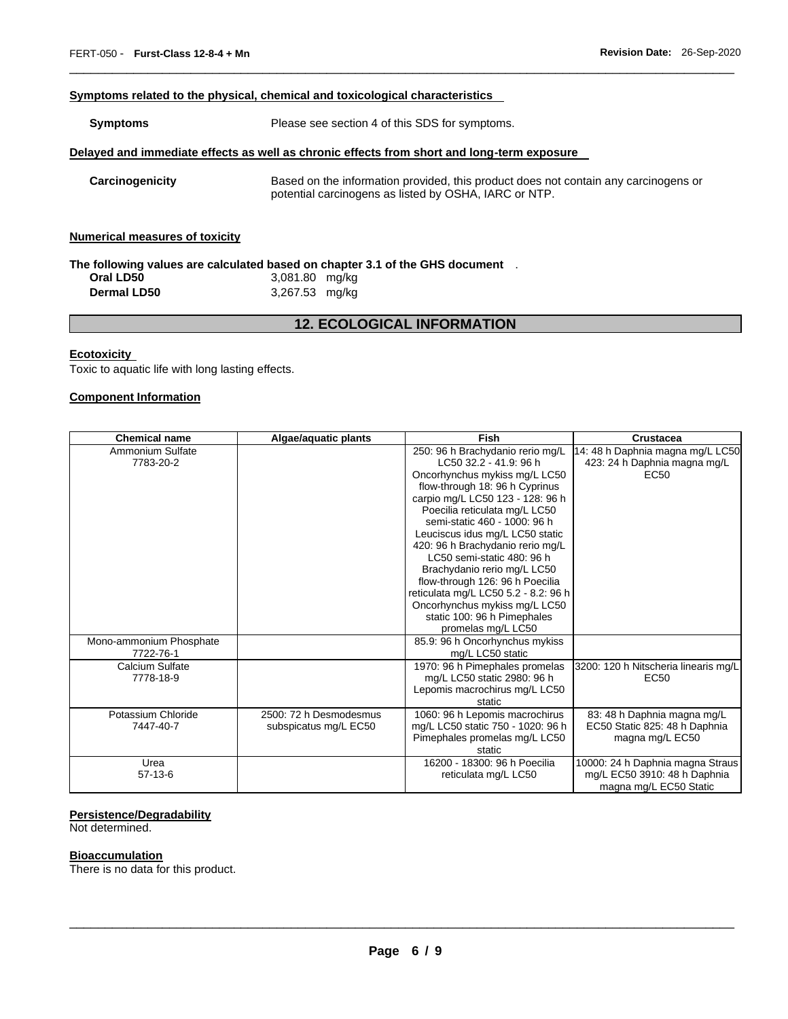### **Symptoms related to the physical, chemical and toxicological characteristics**

| <b>Symptoms</b>                       | Please see section 4 of this SDS for symptoms.                                                                                               |  |  |
|---------------------------------------|----------------------------------------------------------------------------------------------------------------------------------------------|--|--|
|                                       | Delayed and immediate effects as well as chronic effects from short and long-term exposure                                                   |  |  |
| Carcinogenicity                       | Based on the information provided, this product does not contain any carcinogens or<br>potential carcinogens as listed by OSHA, IARC or NTP. |  |  |
| <b>Numerical measures of toxicity</b> |                                                                                                                                              |  |  |

\_\_\_\_\_\_\_\_\_\_\_\_\_\_\_\_\_\_\_\_\_\_\_\_\_\_\_\_\_\_\_\_\_\_\_\_\_\_\_\_\_\_\_\_\_\_\_\_\_\_\_\_\_\_\_\_\_\_\_\_\_\_\_\_\_\_\_\_\_\_\_\_\_\_\_\_\_\_\_\_\_\_\_\_\_\_\_\_\_\_\_\_\_

### **The following values are calculated based on chapter 3.1 of the GHS document** .

| Oral LD50          | 3,081.80 mg/kg |  |
|--------------------|----------------|--|
| <b>Dermal LD50</b> | 3,267.53 mg/kg |  |

### **12. ECOLOGICAL INFORMATION**

### **Ecotoxicity**

Toxic to aquatic life with long lasting effects.

### **Component Information**

| <b>Chemical name</b>    | Algae/aquatic plants   | Fish                                                           | <b>Crustacea</b>                     |
|-------------------------|------------------------|----------------------------------------------------------------|--------------------------------------|
| Ammonium Sulfate        |                        | 250: 96 h Brachydanio rerio mg/L                               | 14: 48 h Daphnia magna mg/L LC50     |
| 7783-20-2               |                        | LC50 32.2 - 41.9: 96 h                                         | 423: 24 h Daphnia magna mg/L         |
|                         |                        | Oncorhynchus mykiss mg/L LC50                                  | <b>EC50</b>                          |
|                         |                        | flow-through 18: 96 h Cyprinus                                 |                                      |
|                         |                        | carpio mg/L LC50 123 - 128: 96 h                               |                                      |
|                         |                        | Poecilia reticulata mg/L LC50                                  |                                      |
|                         |                        | semi-static 460 - 1000: 96 h                                   |                                      |
|                         |                        | Leuciscus idus mg/L LC50 static                                |                                      |
|                         |                        | 420: 96 h Brachydanio rerio mg/L<br>LC50 semi-static 480: 96 h |                                      |
|                         |                        | Brachydanio rerio mg/L LC50                                    |                                      |
|                         |                        | flow-through 126: 96 h Poecilia                                |                                      |
|                         |                        | reticulata mg/L LC50 5.2 - 8.2: 96 h                           |                                      |
|                         |                        | Oncorhynchus mykiss mg/L LC50                                  |                                      |
|                         |                        | static 100: 96 h Pimephales                                    |                                      |
|                         |                        | promelas mg/L LC50                                             |                                      |
| Mono-ammonium Phosphate |                        | 85.9: 96 h Oncorhynchus mykiss                                 |                                      |
| 7722-76-1               |                        | mg/L LC50 static                                               |                                      |
| Calcium Sulfate         |                        | 1970: 96 h Pimephales promelas                                 | 3200: 120 h Nitscheria linearis mg/L |
| 7778-18-9               |                        | mg/L LC50 static 2980: 96 h                                    | EC <sub>50</sub>                     |
|                         |                        | Lepomis macrochirus mg/L LC50                                  |                                      |
|                         |                        | static                                                         |                                      |
| Potassium Chloride      | 2500: 72 h Desmodesmus | 1060: 96 h Lepomis macrochirus                                 | 83: 48 h Daphnia magna mg/L          |
| 7447-40-7               | subspicatus mg/L EC50  | mg/L LC50 static 750 - 1020: 96 h                              | EC50 Static 825: 48 h Daphnia        |
|                         |                        | Pimephales promelas mg/L LC50                                  | magna mg/L EC50                      |
|                         |                        | static                                                         |                                      |
| Urea                    |                        | 16200 - 18300: 96 h Poecilia                                   | 10000: 24 h Daphnia magna Straus     |
| $57-13-6$               |                        | reticulata mg/L LC50                                           | mg/L EC50 3910: 48 h Daphnia         |
|                         |                        |                                                                | magna mg/L EC50 Static               |

### **Persistence/Degradability**

Not determined.

### **Bioaccumulation**

There is no data for this product.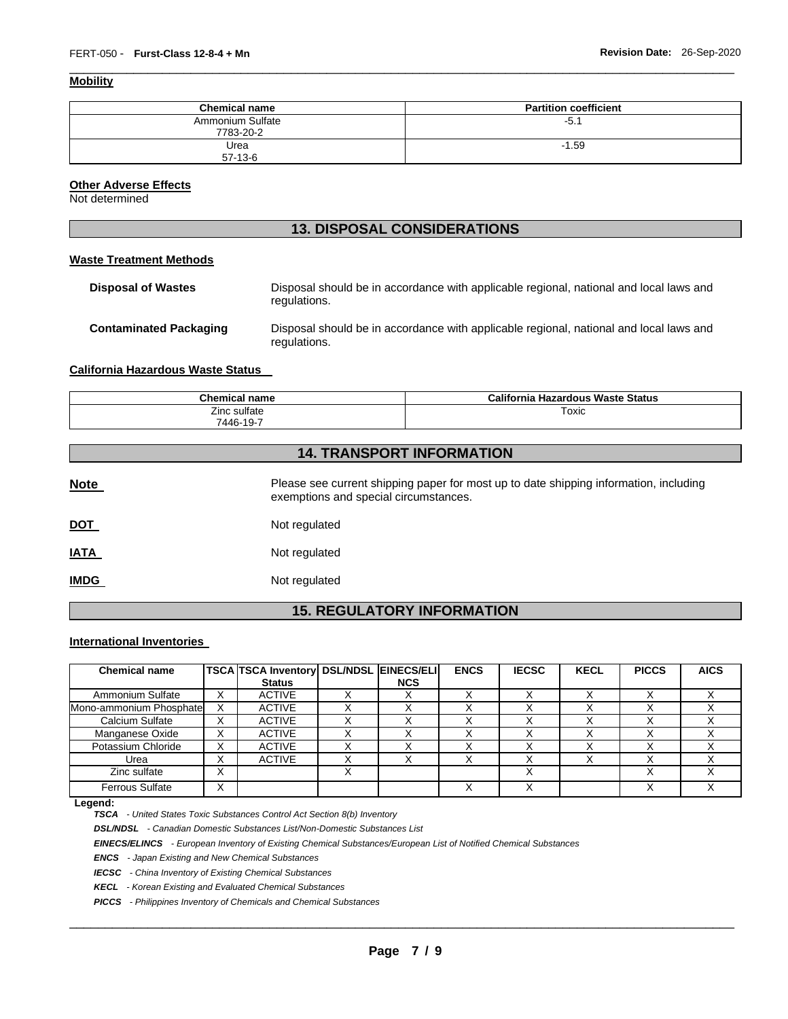### **Mobility**

| <b>Chemical name</b>          | <b>Partition coefficient</b> |
|-------------------------------|------------------------------|
| Ammonium Sulfate<br>7783-20-2 | -5. .                        |
| Urea<br>$57 - 13 - 6$         | $-1.59$                      |

\_\_\_\_\_\_\_\_\_\_\_\_\_\_\_\_\_\_\_\_\_\_\_\_\_\_\_\_\_\_\_\_\_\_\_\_\_\_\_\_\_\_\_\_\_\_\_\_\_\_\_\_\_\_\_\_\_\_\_\_\_\_\_\_\_\_\_\_\_\_\_\_\_\_\_\_\_\_\_\_\_\_\_\_\_\_\_\_\_\_\_\_\_

### **Other Adverse Effects**

Not determined

### **13. DISPOSAL CONSIDERATIONS**

### **Waste Treatment Methods**

| <b>Disposal of Wastes</b>     | Disposal should be in accordance with applicable regional, national and local laws and<br>regulations. |
|-------------------------------|--------------------------------------------------------------------------------------------------------|
| <b>Contaminated Packaging</b> | Disposal should be in accordance with applicable regional, national and local laws and<br>regulations. |

### **California Hazardous Waste Status**

| <b>Chemical name</b> | California Hazardous Waste Status |
|----------------------|-----------------------------------|
| Zinc sulfate         | Toxic                             |
| 7446-19-7            |                                   |

### **14. TRANSPORT INFORMATION**

| <b>Note</b>                       | Please see current shipping paper for most up to date shipping information, including<br>exemptions and special circumstances. |  |  |
|-----------------------------------|--------------------------------------------------------------------------------------------------------------------------------|--|--|
| <u>DOT</u>                        | Not regulated                                                                                                                  |  |  |
| <u>IATA</u>                       | Not regulated                                                                                                                  |  |  |
| <b>IMDG</b>                       | Not regulated                                                                                                                  |  |  |
| <b>15. REGULATORY INFORMATION</b> |                                                                                                                                |  |  |

#### **International Inventories**

| <b>Chemical name</b>    |                           | TSCA TSCA Inventory   DSL/NDSL   EINECS/ELI  <br><b>Status</b> | <b>NCS</b> | <b>ENCS</b> | <b>IECSC</b> | <b>KECL</b> | <b>PICCS</b> | <b>AICS</b> |
|-------------------------|---------------------------|----------------------------------------------------------------|------------|-------------|--------------|-------------|--------------|-------------|
| Ammonium Sulfate        | x                         | <b>ACTIVE</b>                                                  |            |             |              |             |              |             |
| Mono-ammonium Phosphate | $\checkmark$              | <b>ACTIVE</b>                                                  |            |             |              |             |              |             |
| Calcium Sulfate         | v<br>ᄉ                    | <b>ACTIVE</b>                                                  |            |             |              |             |              |             |
| Manganese Oxide         | х                         | <b>ACTIVE</b>                                                  |            |             |              |             |              |             |
| Potassium Chloride      | X                         | <b>ACTIVE</b>                                                  |            |             |              |             |              |             |
| Urea                    | v<br>⋏                    | <b>ACTIVE</b>                                                  |            |             |              |             |              |             |
| Zinc sulfate            | $\checkmark$<br>$\lambda$ |                                                                |            |             |              |             |              |             |
| <b>Ferrous Sulfate</b>  | х                         |                                                                |            |             |              |             |              |             |

#### **Legend:**

*TSCA - United States Toxic Substances Control Act Section 8(b) Inventory* 

*DSL/NDSL - Canadian Domestic Substances List/Non-Domestic Substances List* 

*EINECS/ELINCS - European Inventory of Existing Chemical Substances/European List of Notified Chemical Substances* 

*ENCS - Japan Existing and New Chemical Substances* 

*IECSC - China Inventory of Existing Chemical Substances* 

*KECL - Korean Existing and Evaluated Chemical Substances* 

*PICCS - Philippines Inventory of Chemicals and Chemical Substances*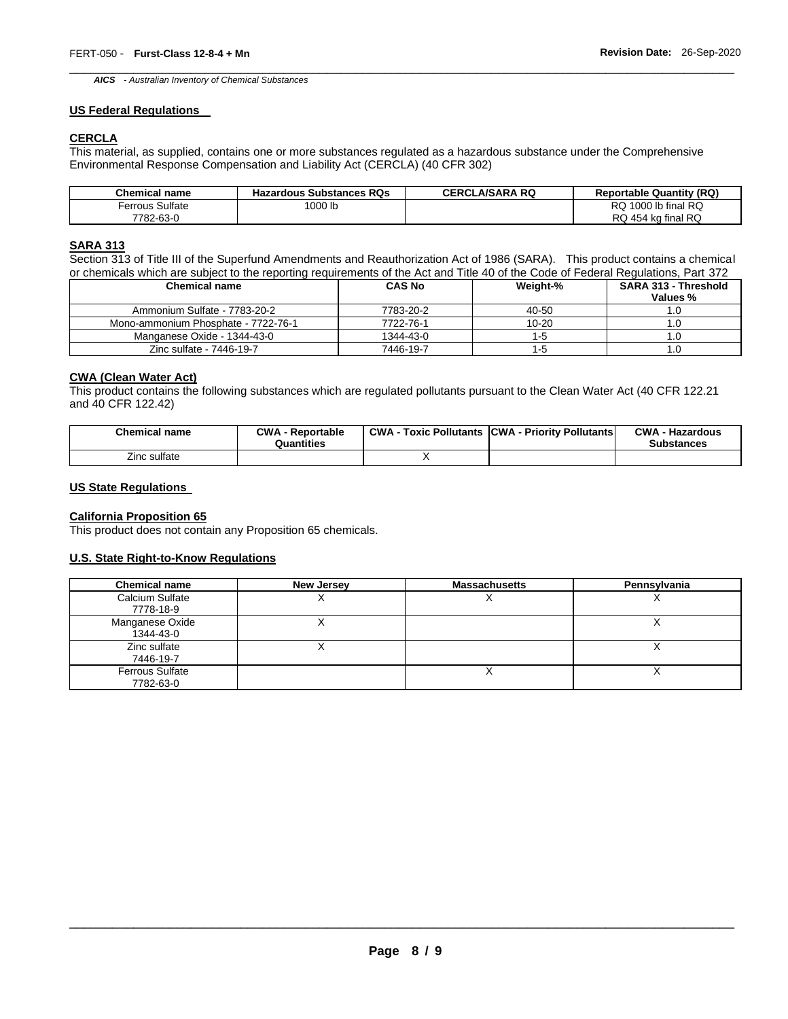\_\_\_\_\_\_\_\_\_\_\_\_\_\_\_\_\_\_\_\_\_\_\_\_\_\_\_\_\_\_\_\_\_\_\_\_\_\_\_\_\_\_\_\_\_\_\_\_\_\_\_\_\_\_\_\_\_\_\_\_\_\_\_\_\_\_\_\_\_\_\_\_\_\_\_\_\_\_\_\_\_\_\_\_\_\_\_\_\_\_\_\_\_ *AICS - Australian Inventory of Chemical Substances* 

#### **US Federal Regulations**

### **CERCLA**

This material, as supplied, contains one or more substances regulated as a hazardous substance under the Comprehensive Environmental Response Compensation and Liability Act (CERCLA) (40 CFR 302)

| <b>Chemical name</b>   | <b>Hazardous Substances RQs</b> | <b>CERCLA/SARA RQ</b> | <b>Reportable Quantity (RQ)</b> |
|------------------------|---------------------------------|-----------------------|---------------------------------|
| <b>Ferrous Sulfate</b> | '000 lb                         |                       | RQ 1000 lb final RQ             |
| 7782-63-0              |                                 |                       | RQ 454 kg final RQ              |

### **SARA 313**

Section 313 of Title III of the Superfund Amendments and Reauthorization Act of 1986 (SARA). This product contains a chemical or chemicals which are subject to the reporting requirements of the Act and Title 40 of the Code of Federal Regulations, Part 372

| <b>Chemical name</b>                | <b>CAS No</b> | Weight-%  | <b>SARA 313 - Threshold</b><br>Values % |
|-------------------------------------|---------------|-----------|-----------------------------------------|
| Ammonium Sulfate - 7783-20-2        | 7783-20-2     | 40-50     |                                         |
| Mono-ammonium Phosphate - 7722-76-1 | 7722-76-1     | $10 - 20$ |                                         |
| Manganese Oxide - 1344-43-0         | 1344-43-0     | 1-5       |                                         |
| Zinc sulfate - 7446-19-7            | 7446-19-7     | 1-5       |                                         |

### **CWA (Clean Water Act)**

This product contains the following substances which are regulated pollutants pursuant to the Clean Water Act (40 CFR 122.21 and 40 CFR 122.42)

| <b>Chemical name</b> | <b>CWA</b><br>Reportable<br>Quantities | <b>CWA</b><br><b>Toxic Pollutants</b> | <b>CWA</b><br><b>Priority Pollutants</b> | <b>CWA</b><br><b>Hazardous</b><br><b>Substances</b> |
|----------------------|----------------------------------------|---------------------------------------|------------------------------------------|-----------------------------------------------------|
| Zinc sulfate         |                                        |                                       |                                          |                                                     |

### **US State Regulations**

### **California Proposition 65**

This product does not contain any Proposition 65 chemicals.

### **U.S. State Right-to-Know Regulations**

| <b>Chemical name</b>                | <b>New Jersey</b> | <b>Massachusetts</b> | Pennsylvania |
|-------------------------------------|-------------------|----------------------|--------------|
| Calcium Sulfate<br>7778-18-9        | $\lambda$         | $\cdot$              |              |
| Manganese Oxide<br>1344-43-0        |                   |                      |              |
| Zinc sulfate<br>7446-19-7           |                   |                      |              |
| <b>Ferrous Sulfate</b><br>7782-63-0 |                   |                      |              |